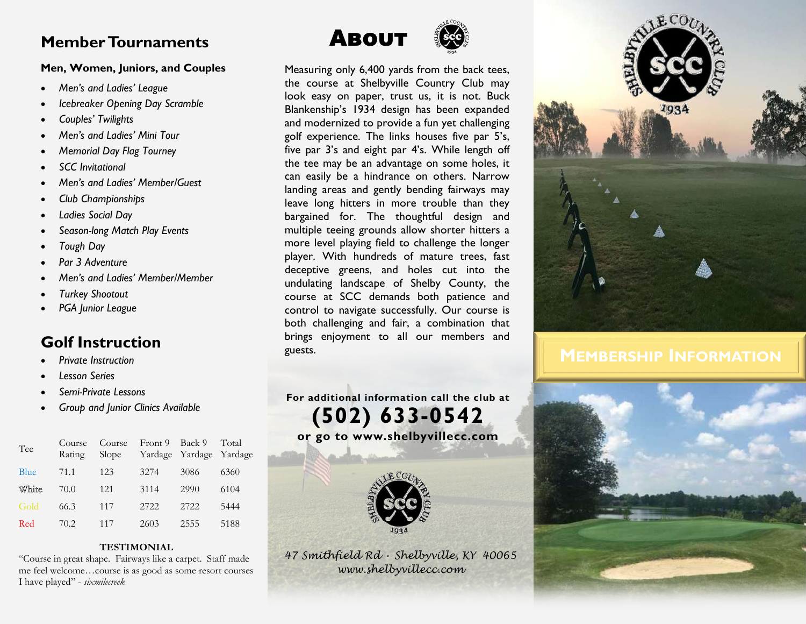## Member Tournaments

## Men, Women, Juniors, and Couples

- Men's and Ladies' League
- Icebreaker Opening Day Scramble
- Couples' Twilights
- · Men's and Ladies' Mini Tour
- · Memorial Day Flag Tourney
- SCC Invitational
- · Men's and Ladies' Member/Guest
- Club Championships
- Ladies Social Day
- Season-long Match Play Events
- · Tough Day
- Par 3 Adventure
- · Men's and Ladies' Member/Member
- **Turkey Shootout**
- PGA Junior League

## Golf Instruction

- **Private Instruction**
- Lesson Series
- Semi-Private Lessons
- · Group and Junior Clinics Available

| Tee   | Course<br>Rating | Course<br>Slope | Front 9<br>Yardage | Back 9<br>Yardage Yardage | Total |
|-------|------------------|-----------------|--------------------|---------------------------|-------|
| Blue  | 71.1             | 123             | 3274               | 3086                      | 6360  |
| White | 70.0             | 121             | 3114               | 2990                      | 6104  |
| Gold  | 66.3             | 117             | 2722               | 2722                      | 5444  |
| Red   | 70.2             | 117             | 2603               | 2555                      | 5188  |

### **TESTIMONIAL**

"Course in great shape. Fairways like a carpet. Staff made me feel welcome…course is as good as some resort courses I have played" - sixmilecreek

# **ABOUT**



Measuring only 6,400 yards from the back tees, the course at Shelbyville Country Club may look easy on paper, trust us, it is not. Buck Blankenship's 1934 design has been expanded and modernized to provide a fun yet challenging golf experience. The links houses five par 5's, five par 3's and eight par 4's. While length off the tee may be an advantage on some holes, it can easily be a hindrance on others. Narrow landing areas and gently bending fairways may leave long hitters in more trouble than they bargained for. The thoughtful design and multiple teeing grounds allow shorter hitters a more level playing field to challenge the longer player. With hundreds of mature trees, fast deceptive greens, and holes cut into the undulating landscape of Shelby County, the course at SCC demands both patience and control to navigate successfully. Our course is both challenging and fair, a combination that brings enjoyment to all our members and guests.

For additional information call the club at (502) 633-0542 or go to www.shelbyvillecc.com



47 Smithfield Rd • Shelbyville, KY 40065 www.shelbyvillecc.com